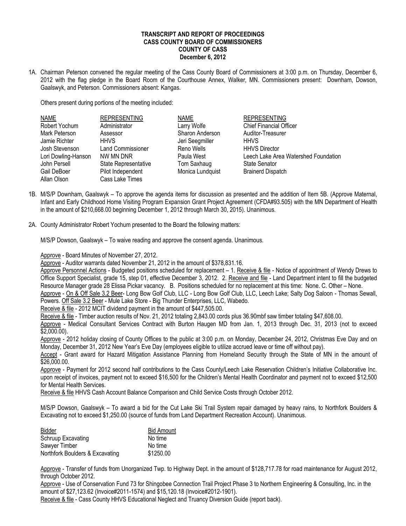## **TRANSCRIPT AND REPORT OF PROCEEDINGS CASS COUNTY BOARD OF COMMISSIONERS COUNTY OF CASS December 6, 2012**

1A. Chairman Peterson convened the regular meeting of the Cass County Board of Commissioners at 3:00 p.m. on Thursday, December 6, 2012 with the flag pledge in the Board Room of the Courthouse Annex, Walker, MN. Commissioners present: Downham, Dowson, Gaalswyk, and Peterson. Commissioners absent: Kangas.

Others present during portions of the meeting included:

| <b>NAME</b>         | <b>REPRESENTING</b>      | <b>NAME</b>      | <b>REPRESENTING</b>                  |
|---------------------|--------------------------|------------------|--------------------------------------|
| Robert Yochum       | Administrator            | Larry Wolfe      | <b>Chief Financial Officer</b>       |
| Mark Peterson       | Assessor                 | Sharon Anderson  | Auditor-Treasurer                    |
| Jamie Richter       | <b>HHVS</b>              | Jeri Seegmiller  | <b>HHVS</b>                          |
| Josh Stevenson      | <b>Land Commissioner</b> | Reno Wells       | <b>HHVS Director</b>                 |
| Lori Dowling-Hanson | NW MN DNR                | Paula West       | Leech Lake Area Watershed Foundation |
| John Persell        | State Representative     | Tom Saxhaug      | <b>State Senator</b>                 |
| Gail DeBoer         | Pilot Independent        | Monica Lundquist | <b>Brainerd Dispatch</b>             |
| Allan Olson         | Cass Lake Times          |                  |                                      |

- 1B. M/S/P Downham, Gaalswyk To approve the agenda items for discussion as presented and the addition of Item 5B. (Approve Maternal, Infant and Early Childhood Home Visiting Program Expansion Grant Project Agreement (CFDA#93.505) with the MN Department of Health in the amount of \$210,668.00 beginning December 1, 2012 through March 30, 2015). Unanimous.
- 2A. County Administrator Robert Yochum presented to the Board the following matters:

M/S/P Dowson, Gaalswyk – To waive reading and approve the consent agenda. Unanimous.

Approve - Board Minutes of November 27, 2012.

Approve - Auditor warrants dated November 21, 2012 in the amount of \$378,831.16.

Approve Personnel Actions - Budgeted positions scheduled for replacement - 1. Receive & file - Notice of appointment of Wendy Drews to Office Support Specialist, grade 15, step 01, effective December 3, 2012. 2. Receive and file - Land Department intent to fill the budgeted Resource Manager grade 28 Elissa Pickar vacancy. B. Positions scheduled for no replacement at this time: None. C. Other – None.

Approve - On & Off Sale 3.2 Beer- Long Bow Golf Club, LLC - Long Bow Golf Club, LLC, Leech Lake; Salty Dog Saloon - Thomas Sewall, Powers. Off Sale 3.2 Beer - Mule Lake Store - Big Thunder Enterprises, LLC, Wabedo.

Receive & file - 2012 MCIT dividend payment in the amount of \$447,505.00.

Receive & file - Timber auction results of Nov. 21, 2012 totaling 2,843.00 cords plus 36.90mbf saw timber totaling \$47,608.00.

Approve - Medical Consultant Services Contract with Burton Haugen MD from Jan. 1, 2013 through Dec. 31, 2013 (not to exceed \$2,000.00).

Approve - 2012 holiday closing of County Offices to the public at 3:00 p.m. on Monday, December 24, 2012, Christmas Eve Day and on Monday, December 31, 2012 New Year's Eve Day (employees eligible to utilize accrued leave or time off without pay).

Accept - Grant award for Hazard Mitigation Assistance Planning from Homeland Security through the State of MN in the amount of \$26,000.00.

Approve - Payment for 2012 second half contributions to the Cass County/Leech Lake Reservation Children's Initiative Collaborative Inc. upon receipt of invoices, payment not to exceed \$16,500 for the Children's Mental Health Coordinator and payment not to exceed \$12,500 for Mental Health Services.

Receive & file HHVS Cash Account Balance Comparison and Child Service Costs through October 2012.

M/S/P Dowson, Gaalswyk – To award a bid for the Cut Lake Ski Trail System repair damaged by heavy rains, to Northfork Boulders & Excavating not to exceed \$1,250.00 (source of funds from Land Department Recreation Account). Unanimous.

| Bidder                          | <b>Bid Amount</b> |
|---------------------------------|-------------------|
| Schruup Excavating              | No time           |
| Sawyer Timber                   | No time           |
| Northfork Boulders & Excavating | \$1250.00         |

Approve - Transfer of funds from Unorganized Twp. to Highway Dept. in the amount of \$128,717.78 for road maintenance for August 2012, through October 2012.

Approve - Use of Conservation Fund 73 for Shingobee Connection Trail Project Phase 3 to Northern Engineering & Consulting, Inc. in the amount of \$27,123.62 (Invoice#2011-1574) and \$15,120.18 (Invoice#2012-1901).

Receive & file - Cass County HHVS Educational Neglect and Truancy Diversion Guide (report back).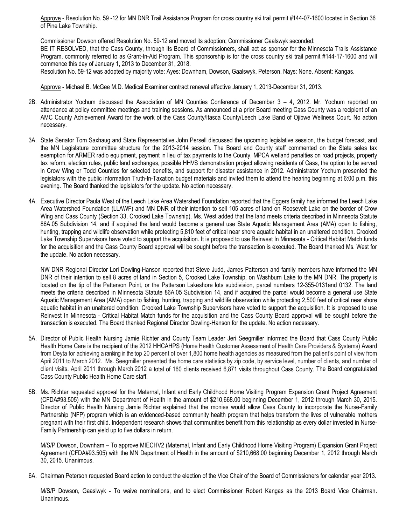Approve - Resolution No. 59 -12 for MN DNR Trail Assistance Program for cross country ski trail permit #144-07-1600 located in Section 36 of Pine Lake Township.

Commissioner Dowson offered Resolution No. 59-12 and moved its adoption; Commissioner Gaalswyk seconded: BE IT RESOLVED, that the Cass County, through its Board of Commissioners, shall act as sponsor for the Minnesota Trails Assistance Program, commonly referred to as Grant-In-Aid Program. This sponsorship is for the cross country ski trail permit #144-17-1600 and will commence this day of January 1, 2013 to December 31, 2018.

Resolution No. 59-12 was adopted by majority vote: Ayes: Downham, Dowson, Gaalswyk, Peterson. Nays: None. Absent: Kangas.

Approve - Michael B. McGee M.D. Medical Examiner contract renewal effective January 1, 2013-December 31, 2013.

- 2B. Administrator Yochum discussed the Association of MN Counties Conference of December 3 4, 2012. Mr. Yochum reported on attendance at policy committee meetings and training sessions. As announced at a prior Board meeting Cass County was a recipient of an AMC County Achievement Award for the work of the Cass County/Itasca County/Leech Lake Band of Ojibwe Wellness Court. No action necessary.
- 3A. State Senator Tom Saxhaug and State Representative John Persell discussed the upcoming legislative session, the budget forecast, and the MN Legislature committee structure for the 2013-2014 session. The Board and County staff commented on the State sales tax exemption for ARMER radio equipment, payment in lieu of tax payments to the County, MPCA wetland penalties on road projects, property tax reform, election rules, public land exchanges, possible HHVS demonstration project allowing residents of Cass, the option to be served in Crow Wing or Todd Counties for selected benefits, and support for disaster assistance in 2012. Administrator Yochum presented the legislators with the public information Truth-In-Taxation budget materials and invited them to attend the hearing beginning at 6:00 p.m. this evening. The Board thanked the legislators for the update. No action necessary.
- 4A. Executive Director Paula West of the Leech Lake Area Watershed Foundation reported that the Eggers family has informed the Leech Lake Area Watershed Foundation (LLAWF) and MN DNR of their intention to sell 105 acres of land on Roosevelt Lake on the border of Crow Wing and Cass County (Section 33, Crooked Lake Township). Ms. West added that the land meets criteria described in Minnesota Statute 86A.05 Subdivision 14, and if acquired the land would become a general use State Aquatic Management Area (AMA) open to fishing, hunting, trapping and wildlife observation while protecting 5,810 feet of critical near shore aquatic habitat in an unaltered condition. Crooked Lake Township Supervisors have voted to support the acquisition. It is proposed to use Reinvest In Minnesota - Critical Habitat Match funds for the acquisition and the Cass County Board approval will be sought before the transaction is executed. The Board thanked Ms. West for the update. No action necessary.

NW DNR Regional Director Lori Dowling-Hanson reported that Steve Judd, James Patterson and family members have informed the MN DNR of their intention to sell 8 acres of land in Section 5, Crooked Lake Township, on Washburn Lake to the MN DNR. The property is located on the tip of the Patterson Point, or the Patterson Lakeshore lots subdivision, parcel numbers 12-355-0131and 0132. The land meets the criteria described in Minnesota Statute 86A.05 Subdivision 14, and if acquired the parcel would become a general use State Aquatic Management Area (AMA) open to fishing, hunting, trapping and wildlife observation while protecting 2,500 feet of critical near shore aquatic habitat in an unaltered condition. Crooked Lake Township Supervisors have voted to support the acquisition. It is proposed to use Reinvest In Minnesota - Critical Habitat Match funds for the acquisition and the Cass County Board approval will be sought before the transaction is executed. The Board thanked Regional Director Dowling-Hanson for the update. No action necessary.

- 5A. Director of Public Health Nursing Jamie Richter and County Team Leader Jeri Seegmiller informed the Board that Cass County Public Health Home Care is the recipient of the 2012 HHCAHPS (Home Health Customer Assessment of Health Care Providers & Systems) Award from Deyta for achieving a ranking in the top 20 percent of over 1,800 home health agencies as measured from the patient's point of view from April 2011 to March 2012. Ms. Seegmiller presented the home care statistics by zip code, by service level, number of clients, and number of client visits. April 2011 through March 2012 a total of 160 clients received 6,871 visits throughout Cass County. The Board congratulated Cass County Public Health Home Care staff.
- 5B. Ms. Richter requested approval for the Maternal, Infant and Early Childhood Home Visiting Program Expansion Grant Project Agreement (CFDA#93.505) with the MN Department of Health in the amount of \$210,668.00 beginning December 1, 2012 through March 30, 2015. Director of Public Health Nursing Jamie Richter explained that the monies would allow Cass County to incorporate the Nurse-Family Partnership (NFP) program which is an evidenced-based community health program that helps transform the lives of vulnerable mothers pregnant with their first child. Independent research shows that communities benefit from this relationship as every dollar invested in Nurse-Family Partnership can yield up to five dollars in return.

M/S/P Dowson, Downham – To approve MIECHV2 (Maternal, Infant and Early Childhood Home Visiting Program) Expansion Grant Project Agreement (CFDA#93.505) with the MN Department of Health in the amount of \$210,668.00 beginning December 1, 2012 through March 30, 2015. Unanimous.

6A. Chairman Peterson requested Board action to conduct the election of the Vice Chair of the Board of Commissioners for calendar year 2013.

M/S/P Dowson, Gaaslwyk - To waive nominations, and to elect Commissioner Robert Kangas as the 2013 Board Vice Chairman. Unanimous.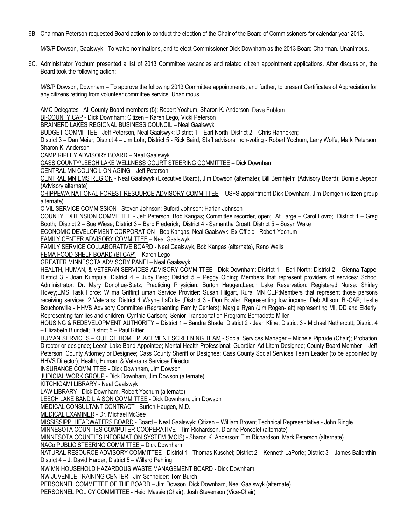6B. Chairman Peterson requested Board action to conduct the election of the Chair of the Board of Commissioners for calendar year 2013.

M/S/P Dowson, Gaalswyk - To waive nominations, and to elect Commissioner Dick Downham as the 2013 Board Chairman. Unanimous.

6C. Administrator Yochum presented a list of 2013 Committee vacancies and related citizen appointment applications. After discussion, the Board took the following action:

M/S/P Dowson, Downham – To approve the following 2013 Committee appointments, and further, to present Certificates of Appreciation for any citizens retiring from volunteer committee service. Unanimous.

AMC Delegates - All County Board members (5); Robert Yochum, Sharon K. Anderson, Dave Enblom

BI-COUNTY CAP - Dick Downham; Citizen – Karen Lego, Vicki Peterson

BRAINERD LAKES REGIONAL BUSINESS COUNCIL – Neal Gaalswyk

BUDGET COMMITTEE - Jeff Peterson, Neal Gaalswyk; District 1 – Earl North; District 2 – Chris Hanneken;

District 3 – Dan Meier; District 4 – Jim Lohr; District 5 - Rick Baird; Staff advisors, non-voting - Robert Yochum, Larry Wolfe, Mark Peterson, Sharon K. Anderson

CAMP RIPLEY ADVISORY BOARD – Neal Gaalswyk

CASS COUNTY/LEECH LAKE WELLNESS COURT STEERING COMMITTEE – Dick Downham

CENTRAL MN COUNCIL ON AGING – Jeff Peterson

CENTRAL MN EMS REGION - Neal Gaalswyk (Executive Board), Jim Dowson (alternate); Bill Bernhjelm (Advisory Board); Bonnie Jepson (Advisory alternate)

CHIPPEWA NATIONAL FOREST RESOURCE ADVISORY COMMITTEE – USFS appointment Dick Downham, Jim Demgen (citizen group alternate)

CIVIL SERVICE COMMISSION - Steven Johnson; Buford Johnson; Harlan Johnson

COUNTY EXTENSION COMMITTEE - Jeff Peterson, Bob Kangas; Committee recorder, open; At Large – Carol Lovro; District 1 – Greg Booth; District 2 – Sue Wiese; District 3 – Barb Frederick; District 4 - Samantha Croatt; District 5 – Susan Wake

ECONOMIC DEVELOPMENT CORPORATION - Bob Kangas, Neal Gaalswyk, Ex-Officio - Robert Yochum

FAMILY CENTER ADVISORY COMMITTEE – Neal Gaalswyk

FAMILY SERVICE COLLABORATIVE BOARD - Neal Gaalswyk, Bob Kangas (alternate), Reno Wells

FEMA FOOD SHELF BOARD (BI-CAP) – Karen Lego

GREATER MINNESOTA ADVISORY PANEL– Neal Gaalswyk

HEALTH, HUMAN, & VETERAN SERVICES ADVISORY COMMITTEE - Dick Downham; District 1 – Earl North; District 2 – Glenna Tappe; District 3 - Joan Kumpula; District 4 – Judy Berg; District 5 – Peggy Olding; Members that represent providers of services: School Administrator: Dr. Mary Donohue-Stetz; Practicing Physician: Burton Haugen;Leech Lake Reservation: Registered Nurse: Shirley Hovey;EMS Task Force: Wilma Griffin;Human Service Provider: Susan Hilgart, Rural MN CEP;Members that represent those persons receiving services: 2 Veterans: District 4 Wayne LaDuke ;District 3 - Don Fowler; Representing low income: Deb Allison, Bi-CAP; Leslie Bouchonville - HHVS Advisory Committee (Representing Family Centers); Margie Ryan (Jim Rogen- alt) representing MI, DD and Elderly; Representing families and children: Cynthia Carlson; Senior Transportation Program: Bernadette Miller

HOUSING & REDEVELOPMENT AUTHORITY – District 1 – Sandra Shade; District 2 - Jean Kline; District 3 - Michael Nethercutt; District 4 – Elizabeth Blundell; District 5 – Paul Ritter

HUMAN SERVICES – OUT OF HOME PLACEMENT SCREENING TEAM - Social Services Manager – Michele Piprude (Chair); Probation Director or designee; Leech Lake Band Appointee; Mental Health Professional; Guardian Ad Litem Designee; County Board Member – Jeff Peterson; County Attorney or Designee; Cass County Sheriff or Designee; Cass County Social Services Team Leader (to be appointed by HHVS Director); Health, Human, & Veterans Services Director

INSURANCE COMMITTEE - Dick Downham, Jim Dowson

JUDICIAL WORK GROUP - Dick Downham, Jim Dowson (alternate)

KITCHIGAMI LIBRARY - Neal Gaalswyk

LAW LIBRARY - Dick Downham, Robert Yochum (alternate)

LEECH LAKE BAND LIAISON COMMITTEE - Dick Downham, Jim Dowson

MEDICAL CONSULTANT CONTRACT - Burton Haugen, M.D.

MEDICAL EXAMINER - Dr. Michael McGee

MISSISSIPPI HEADWATERS BOARD - Board – Neal Gaalswyk; Citizen – William Brown; Technical Representative - John Ringle MINNESOTA COUNTIES COMPUTER COOPERATIVE - Tim Richardson, Dianne Poncelet (alternate)

MINNESOTA COUNTIES INFORMATION SYSTEM (MCIS) - Sharon K. Anderson; Tim Richardson, Mark Peterson (alternate)

NACo PUBLIC STEERING COMMITTEE – Dick Downham

NATURAL RESOURCE ADVISORY COMMITTEE - District 1– Thomas Kuschel; District 2 – Kenneth LaPorte; District 3 – James Ballenthin; District 4 – J. David Harder; District 5 – Willard Pehling

NW MN HOUSEHOLD HAZARDOUS WASTE MANAGEMENT BOARD - Dick Downham

NW JUVENILE TRAINING CENTER - Jim Schneider; Tom Burch

PERSONNEL COMMITTEE OF THE BOARD – Jim Dowson, Dick Downham, Neal Gaalswyk (alternate)

PERSONNEL POLICY COMMITTEE - Heidi Massie (Chair), Josh Stevenson (Vice-Chair)